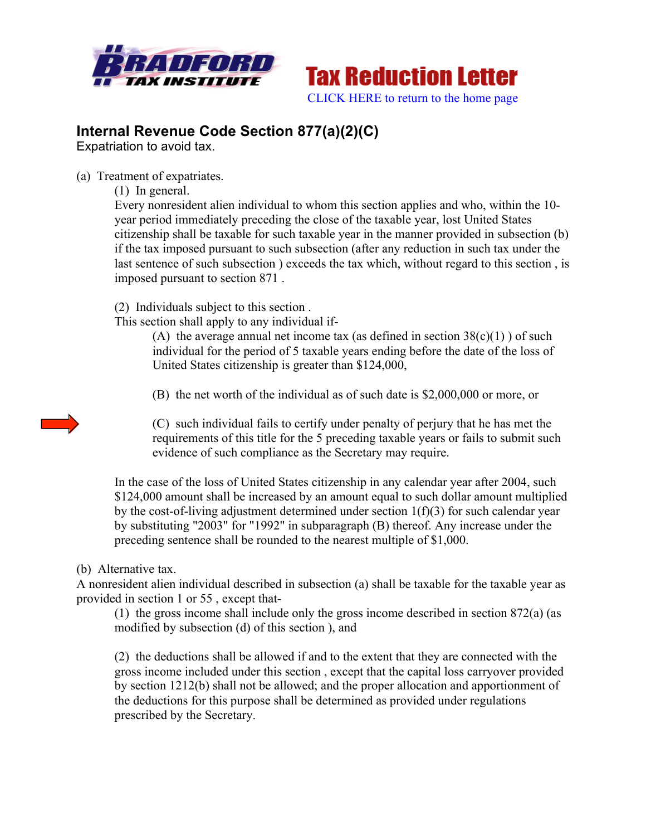



## **Internal Revenue Code Section 877(a)(2)(C)**

Expatriation to avoid tax.

(a) Treatment of expatriates.

(1) In general.

Every nonresident alien individual to whom this section applies and who, within the 10 year period immediately preceding the close of the taxable year, lost United States citizenship shall be taxable for such taxable year in the manner provided in subsection (b) if the tax imposed pursuant to such subsection (after any reduction in such tax under the last sentence of such subsection ) exceeds the tax which, without regard to this section , is imposed pursuant to section 871 .

(2) Individuals subject to this section .

This section shall apply to any individual if-

(A) the average annual net income tax (as defined in section  $38(c)(1)$ ) of such individual for the period of 5 taxable years ending before the date of the loss of United States citizenship is greater than \$124,000,

(B) the net worth of the individual as of such date is \$2,000,000 or more, or

(C) such individual fails to certify under penalty of perjury that he has met the requirements of this title for the 5 preceding taxable years or fails to submit such evidence of such compliance as the Secretary may require.

In the case of the loss of United States citizenship in any calendar year after 2004, such \$124,000 amount shall be increased by an amount equal to such dollar amount multiplied by the cost-of-living adjustment determined under section  $1(f)(3)$  for such calendar year by substituting "2003" for "1992" in subparagraph (B) thereof. Any increase under the preceding sentence shall be rounded to the nearest multiple of \$1,000.

## (b) Alternative tax.

A nonresident alien individual described in subsection (a) shall be taxable for the taxable year as provided in section 1 or 55 , except that-

(1) the gross income shall include only the gross income described in section 872(a) (as modified by subsection (d) of this section ), and

(2) the deductions shall be allowed if and to the extent that they are connected with the gross income included under this section , except that the capital loss carryover provided by section 1212(b) shall not be allowed; and the proper allocation and apportionment of the deductions for this purpose shall be determined as provided under regulations prescribed by the Secretary.